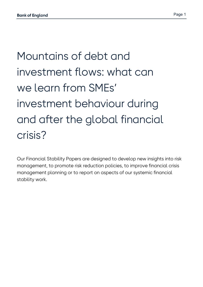# Mountains of debt and investment flows: what can we learn from SMEs' investment behaviour during and after the global financial crisis?

Our Financial Stability Papers are designed to develop new insights into risk management, to promote risk reduction policies, to improve financial crisis management planning or to report on aspects of our systemic financial stability work.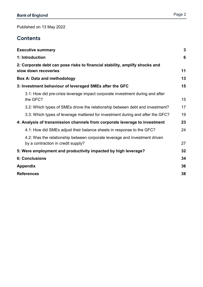Published on 13 May 2022

#### **Contents**

| <b>Executive summary</b>                                                                                         | $\mathbf{3}$ |
|------------------------------------------------------------------------------------------------------------------|--------------|
| 1: Introduction                                                                                                  | 6            |
| 2: Corporate debt can pose risks to financial stability, amplify shocks and<br>slow down recoveries              | 11           |
| <b>Box A: Data and methodology</b>                                                                               | 13           |
| 3: Investment behaviour of leveraged SMEs after the GFC                                                          | 15           |
| 3.1: How did pre-crisis leverage impact corporate investment during and after<br>the GFC?                        | 15           |
| 3.2: Which types of SMEs drove the relationship between debt and investment?                                     | 17           |
| 3.3: Which types of leverage mattered for investment during and after the GFC?                                   | 19           |
| 4: Analysis of transmission channels from corporate leverage to investment                                       | 23           |
| 4.1: How did SMEs adjust their balance sheets in response to the GFC?                                            | 24           |
| 4.2: Was the relationship between corporate leverage and investment driven<br>by a contraction in credit supply? | 27           |
| 5: Were employment and productivity impacted by high leverage?                                                   | 32           |
| <b>6: Conclusions</b>                                                                                            | 34           |
| <b>Appendix</b>                                                                                                  | 36           |
| <b>References</b>                                                                                                | 38           |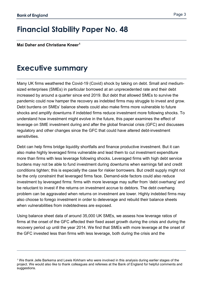$\overline{a}$ 

#### Page 3

## **Financial Stability Paper No. 48**

**Mai Daher and Christiane Kneer[1](#page-2-1)**

### <span id="page-2-0"></span>**Executive summary**

Many UK firms weathered the Covid-19 (Covid) shock by taking on debt. Small and mediumsized enterprises (SMEs) in particular borrowed at an unprecedented rate and their debt increased by around a quarter since end 2019. But debt that allowed SMEs to survive the pandemic could now hamper the recovery as indebted firms may struggle to invest and grow. Debt burdens on SMEs' balance sheets could also make firms more vulnerable to future shocks and amplify downturns if indebted firms reduce investment more following shocks. To understand how investment might evolve in the future, this paper examines the effect of leverage on SME investment during and after the global financial crisis (GFC) and discusses regulatory and other changes since the GFC that could have altered debt-investment sensitivities.

Debt can help firms bridge liquidity shortfalls and finance productive investment. But it can also make highly leveraged firms vulnerable and lead them to cut investment expenditure more than firms with less leverage following shocks. Leveraged firms with high debt service burdens may not be able to fund investment during downturns when earnings fall and credit conditions tighten; this is especially the case for riskier borrowers. But credit supply might not be the only constraint that leveraged firms face. Demand-side factors could also reduce investment by leveraged firms: firms with more leverage may suffer from 'debt overhang' and be reluctant to invest if the returns on investment accrue to debtors. The debt overhang problem can be aggravated when returns on investment are lower. Highly indebted firms may also choose to forego investment in order to deleverage and rebuild their balance sheets when vulnerabilities from indebtedness are exposed.

Using balance sheet data of around 35,000 UK SMEs, we assess how leverage ratios of firms at the onset of the GFC affected their fixed asset growth during the crisis and during the recovery period up until the year 2014. We find that SMEs with more leverage at the onset of the GFC invested less than firms with less leverage, both during the crisis and the

<span id="page-2-1"></span><sup>1</sup> We thank Jelle Barkema and Lewis Kirkham who were involved in this analysis during earlier stages of the project. We would also like to thank colleagues and referees at the Bank of England for helpful comments and suggestions.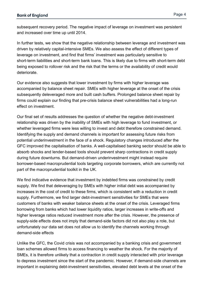subsequent recovery period. The negative impact of leverage on investment was persistent and increased over time up until 2014.

In further tests, we show that the negative relationship between leverage and investment was driven by relatively capital-intensive SMEs. We also assess the effect of different types of leverage on investment, and find that firms' investment was particularly sensitive to short-term liabilities and short-term bank loans. This is likely due to firms with short-term debt being exposed to rollover risk and the risk that the terms or the availability of credit would deteriorate.

Our evidence also suggests that lower investment by firms with higher leverage was accompanied by balance sheet repair. SMEs with higher leverage at the onset of the crisis subsequently deleveraged more and built cash buffers. Prolonged balance sheet repair by firms could explain our finding that pre-crisis balance sheet vulnerabilities had a long-run effect on investment.

Our final set of results addresses the question of whether the negative debt-investment relationship was driven by the inability of SMEs with high leverage to fund investment, or whether leveraged firms were less willing to invest and debt therefore constrained demand. Identifying the supply and demand channels is important for assessing future risks from potential underinvestment in the face of a shock. Regulatory changes introduced after the GFC improved the capitalisation of banks. A well-capitalised banking sector should be able to absorb shocks and lender-based tools should prevent sharp contractions in credit supply during future downturns. But demand-driven underinvestment might instead require borrower-based macroprudential tools targeting corporate borrowers, which are currently not part of the macroprudential toolkit in the UK.

We find indicative evidence that investment by indebted firms was constrained by credit supply. We find that deleveraging by SMEs with higher initial debt was accompanied by increases in the cost of credit to these firms, which is consistent with a reduction in credit supply. Furthermore, we find larger debt-investment sensitivities for SMEs that were customers of banks with weaker balance sheets at the onset of the crisis. Leveraged firms borrowing from banks which had lower liquidity ratios, larger increases in write-offs and higher leverage ratios reduced investment more after the crisis. However, the presence of supply-side effects does not imply that demand-side factors did not also play a role, but unfortunately our data set does not allow us to identify the channels working through demand-side effects

Unlike the GFC, the Covid crisis was not accompanied by a banking crisis and government loan schemes allowed firms to access financing to weather the shock. For the majority of SMEs, it is therefore unlikely that a contraction in credit supply interacted with prior leverage to depress investment since the start of the pandemic. However, if demand-side channels are important in explaining debt-investment sensitivities, elevated debt levels at the onset of the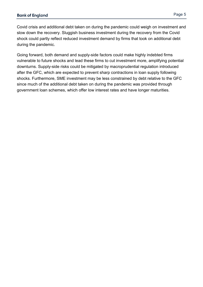Covid crisis and additional debt taken on during the pandemic could weigh on investment and slow down the recovery. Sluggish business investment during the recovery from the Covid shock could partly reflect reduced investment demand by firms that took on additional debt during the pandemic.

Going forward, both demand and supply-side factors could make highly indebted firms vulnerable to future shocks and lead these firms to cut investment more, amplifying potential downturns. Supply-side risks could be mitigated by macroprudential regulation introduced after the GFC, which are expected to prevent sharp contractions in loan supply following shocks. Furthermore, SME investment may be less constrained by debt relative to the GFC since much of the additional debt taken on during the pandemic was provided through government loan schemes, which offer low interest rates and have longer maturities.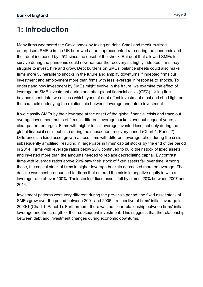## <span id="page-5-0"></span>**1: Introduction**

Many firms weathered the Covid shock by taking on debt. Small and medium-sized enterprises (SMEs) in the UK borrowed at an unprecedented rate during the pandemic and their debt increased by 25% since the onset of the shock. But debt that allowed SMEs to survive during the pandemic could now hamper the recovery as highly indebted firms may struggle to invest, hire and grow. Debt burdens on SMEs' balance sheets could also make firms more vulnerable to shocks in the future and amplify downturns if indebted firms cut investment and employment more than firms with less leverage in response to shocks. To understand how investment by SMEs might evolve in the future, we examine the effect of leverage on SME investment during and after global financial crisis (GFC). Using firm balance sheet data, we assess which types of debt affect investment most and shed light on the channels underlying the relationship between leverage and future investment.

If we classify SMEs by their leverage at the onset of the global financial crisis and trace out average investment paths of firms in different leverage buckets over subsequent years, a clear pattern emerges: Firms with higher initial leverage invested less, not only during the global financial crisis but also during the subsequent recovery period (Chart 1, Panel 2). Differences in fixed asset growth across firms with different leverage ratios during the crisis subsequently amplified, resulting in large gaps in firms' capital stocks by the end of the period in 2014. Firms with leverage ratios below 20% continued to build their stock of fixed assets and invested more than the amounts needed to replace depreciating capital. By contrast, firms with leverage ratios above 20% saw their stock of fixed assets fall over time. Among those, the capital stock of firms in higher leverage buckets decreased more on average. The decline was most pronounced for firms that entered the crisis in negative equity ie with a leverage ratio of over 100%. Their stock of fixed assets fell by almost 20% between 2007 and 2014.

Investment patterns were very different during the pre-crisis period: the fixed asset stock of SMEs grew over the period between 2001 and 2006, irrespective of firms' initial leverage in 2000/1 (Chart 1, Panel 1). Furthermore, there was no clear relationship between firms' initial leverage and the strength of their subsequent investment. This suggests that the relationship between debt and investment changes during economic downturns.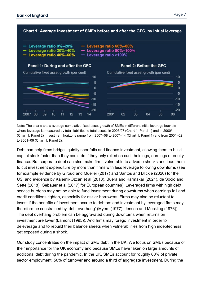

Note: The charts show average cumulative fixed asset growth of SMEs in different initial leverage buckets where leverage is measured by total liabilities to total assets in 2006/07 (Chart 1, Panel 1) and in 2000/1 (Chart 1, Panel 2). Investment horizons range from 2007–08 to 2007–14 (Chart 1, Panel 1) and from 2001–02 to 2001–06 (Chart 1, Panel 2).

Debt can help firms bridge liquidity shortfalls and finance investment, allowing them to build capital stock faster than they could do if they only relied on cash holdings, earnings or equity finance. But corporate debt can also make firms vulnerable to adverse shocks and lead them to cut investment expenditure by more than firms with less leverage following downturns (see for example evidence by Giroud and Mueller (2017) and Santos and Blickle (2020) for the US, and evidence by Kalemli-Ozcan et al (2018), Buera and Karmakar (2021), de Socio and Sette (2018), Gebauer et al (2017) for European countries). Leveraged firms with high debt service burdens may not be able to fund investment during downturns when earnings fall and credit conditions tighten, especially for riskier borrowers. Firms may also be reluctant to invest if the benefits of investment accrue to debtors and investment by leveraged firms may therefore be constrained by 'debt overhang' (Myers (1977); Jensen and Meckling (1976)). The debt overhang problem can be aggravated during downturns when returns on investment are lower (Lamont (1995)). And firms may forego investment in order to deleverage and to rebuild their balance sheets when vulnerabilities from high indebtedness get exposed during a shock.

Our study concentrates on the impact of SME debt in the UK. We focus on SMEs because of their importance for the UK economy and because SMEs have taken on large amounts of additional debt during the pandemic. In the UK, SMEs account for roughly 60% of private sector employment, 50% of turnover and around a third of aggregate investment. During the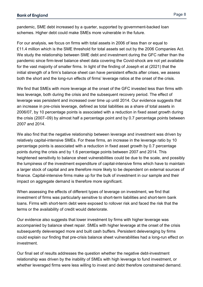pandemic, SME debt increased by a quarter, supported by government-backed loan schemes. Higher debt could make SMEs more vulnerable in the future.

For our analysis, we focus on firms with total assets in 2006 of less than or equal to £11.4 million which is the SME threshold for total assets set out by the 2006 Companies Act. We study the relationship between SME debt and investment during the GFC rather than the pandemic since firm-level balance sheet data covering the Covid-shock are not yet available for the vast majority of smaller firms. In light of the finding of Joseph et al (2021) that the initial strength of a firm's balance sheet can have persistent effects after crises, we assess both the short and the long-run effects of firms' leverage ratios at the onset of the crisis.

We find that SMEs with more leverage at the onset of the GFC invested less than firms with less leverage, both during the crisis and the subsequent recovery period. The effect of leverage was persistent and increased over time up until 2014. Our evidence suggests that an increase in pre-crisis leverage, defined as total liabilities as a share of total assets in 2006/07, by 10 percentage points is associated with a reduction in fixed asset growth during the crisis (2007–09) by almost half a percentage point and by 0.7 percentage points between 2007 and 2014.

We also find that the negative relationship between leverage and investment was driven by relatively capital-intensive SMEs. For these firms, an increase in the leverage ratio by 10 percentage points is associated with a reduction in fixed asset growth by 0.7 percentage points during the crisis and by 1.6 percentage points between 2007 and 2014. This heightened sensitivity to balance sheet vulnerabilities could be due to the scale, and possibly the lumpiness of the investment expenditure of capital-intensive firms which have to maintain a larger stock of capital and are therefore more likely to be dependent on external sources of finance. Capital-intensive firms make up for the bulk of investment in our sample and their impact on aggregate demand is therefore more significant.

When assessing the effects of different types of leverage on investment, we find that investment of firms was particularly sensitive to short-term liabilities and short-term bank loans. Firms with short-term debt were exposed to rollover risk and faced the risk that the terms or the availability of credit would deteriorate.

Our evidence also suggests that lower investment by firms with higher leverage was accompanied by balance sheet repair. SMEs with higher leverage at the onset of the crisis subsequently deleveraged more and built cash buffers. Persistent deleveraging by firms could explain our finding that pre-crisis balance sheet vulnerabilities had a long-run effect on investment.

Our final set of results addresses the question whether the negative debt-investment relationship was driven by the inability of SMEs with high leverage to fund investment, or whether leveraged firms were less willing to invest and debt therefore constrained demand.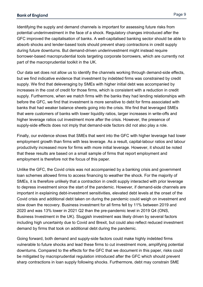Page 9

Identifying the supply and demand channels is important for assessing future risks from potential underinvestment in the face of a shock. Regulatory changes introduced after the GFC improved the capitalisation of banks. A well-capitalised banking sector should be able to absorb shocks and lender-based tools should prevent sharp contractions in credit supply during future downturns. But demand-driven underinvestment might instead require borrower-based macroprudential tools targeting corporate borrowers, which are currently not part of the macroprudential toolkit in the UK.

Our data set does not allow us to identify the channels working through demand-side effects, but we find indicative evidence that investment by indebted firms was constrained by credit supply. We find that deleveraging by SMEs with higher initial debt was accompanied by increases in the cost of credit for those firms, which is consistent with a reduction in credit supply. Furthermore, when we match firms with the banks they had lending relationships with before the GFC, we find that investment is more sensitive to debt for firms associated with banks that had weaker balance sheets going into the crisis. We find that leveraged SMEs that were customers of banks with lower liquidity ratios, larger increases in write-offs and higher leverage ratios cut investment more after the crisis. However, the presence of supply-side effects does not imply that demand-side factors did not also play a role.

Finally, our evidence shows that SMEs that went into the GFC with higher leverage had lower employment growth than firms with less leverage. As a result, capital-labour ratios and labour productivity increased more for firms with more initial leverage. However, it should be noted that these results are based on a small sample of firms that report employment and employment is therefore not the focus of this paper.

Unlike the GFC, the Covid crisis was not accompanied by a banking crisis and government loan schemes allowed firms to access financing to weather the shock. For the majority of SMEs, it is therefore unlikely that a contraction in credit supply interacted with prior leverage to depress investment since the start of the pandemic. However, if demand-side channels are important in explaining debt-investment sensitivities, elevated debt levels at the onset of the Covid crisis and additional debt taken on during the pandemic could weigh on investment and slow down the recovery. Business investment for all firms fell by 11% between 2019 and 2020 and was 13% lower in 2021 Q2 than the pre-pandemic level in 2019 Q4 (ONS, Business Investment in the UK). Sluggish investment was likely driven by several factors including high uncertainty due to Covid and Brexit, but could also reflect reduced investment demand by firms that took on additional debt during the pandemic.

Going forward, both demand and supply-side factors could make highly indebted firms vulnerable to future shocks and lead these firms to cut investment more, amplifying potential downturns. Compared to the effects for the GFC that we document in this paper, risks could be mitigated by macroprudential regulation introduced after the GFC which should prevent sharp contractions in loan supply following shocks. Furthermore, debt may constrain SME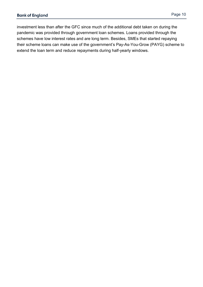investment less than after the GFC since much of the additional debt taken on during the pandemic was provided through government loan schemes. Loans provided through the schemes have low interest rates and are long term. Besides, SMEs that started repaying their scheme loans can make use of the government's Pay-As-You-Grow (PAYG) scheme to extend the loan term and reduce repayments during half-yearly windows.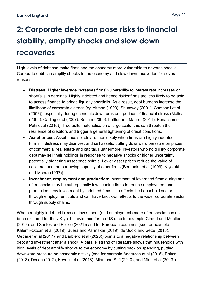## <span id="page-10-0"></span>**2: Corporate debt can pose risks to financial stability, amplify shocks and slow down recoveries**

High levels of debt can make firms and the economy more vulnerable to adverse shocks. Corporate debt can amplify shocks to the economy and slow down recoveries for several reasons:

- **Distress:** Higher leverage increases firms' vulnerability to interest rate increases or shortfalls in earnings. Highly indebted and hence riskier firms are less likely to be able to access finance to bridge liquidity shortfalls. As a result, debt burdens increase the likelihood of corporate distress (eg Altman (1993); Shumway (2001); Campbell et al (2008)), especially during economic downturns and periods of financial stress (Molina (2005); Carling et al (2007); Bonfim (2009); Loffler and Maurer (2011); Bonaccorsi di Patii et al (2015)). If defaults materialise on a large scale, this can threaten the resilience of creditors and trigger a general tightening of credit conditions.
- **Asset prices:** Asset price spirals are more likely when firms are highly indebted. Firms in distress may disinvest and sell assets, putting downward pressure on prices of commercial real estate and capital. Furthermore, investors who hold risky corporate debt may sell their holdings in response to negative shocks or higher uncertainty, potentially triggering asset price spirals. Lower asset prices reduce the value of collateral and the borrowing capacity of other firms (Bernanke et al (1999); Kiyotaki and Moore (1997)).
- **Investment, employment and production:** Investment of leveraged firms during and after shocks may be sub-optimally low, leading firms to reduce employment and production. Low investment by indebted firms also affects the household sector through employment cuts and can have knock-on effects to the wider corporate sector through supply chains.

Whether highly indebted firms cut investment (and employment) more after shocks has not been explored for the UK yet but evidence for the US (see for example Giroud and Mueller (2017), and Santos and Blickle (2021)) and for European countries (see for example Kalemli-Ozcan et al (2019), Buera and Karmakar (2019), de Socio and Sette (2018), Gebauer et al (2017), and Barbiero et al (2020)) points to a negative relationship between debt and investment after a shock. A parallel strand of literature shows that households with high levels of debt amplify shocks to the economy by cutting back on spending, putting downward pressure on economic activity (see for example Andersen et al (2016), Baker (2018), Dynan (2012), Kovacs et al (2018), Mian and Sufi (2010), and Mian et al (2013)).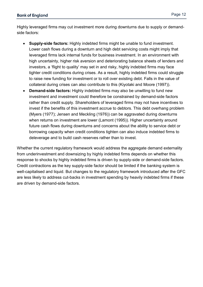Highly leveraged firms may cut investment more during downturns due to supply or demandside factors:

- **Supply-side factors:** Highly indebted firms might be unable to fund investment. Lower cash flows during a downturn and high debt servicing costs might imply that leveraged firms lack internal funds for business investment. In an environment with high uncertainty, higher risk aversion and deteriorating balance sheets of lenders and investors, a 'flight to quality' may set in and risky, highly indebted firms may face tighter credit conditions during crises. As a result, highly indebted firms could struggle to raise new funding for investment or to roll over existing debt. Falls in the value of collateral during crises can also contribute to this (Kiyotaki and Moore (1997)).
- **Demand-side factors:** Highly indebted firms may also be unwilling to fund new investment and investment could therefore be constrained by demand-side factors rather than credit supply. Shareholders of leveraged firms may not have incentives to invest if the benefits of this investment accrue to debtors. This debt overhang problem (Myers (1977); Jensen and Meckling (1976)) can be aggravated during downturns when returns on investment are lower (Lamont (1995)). Higher uncertainty around future cash flows during downturns and concerns about the ability to service debt or borrowing capacity when credit conditions tighten can also induce indebted firms to deleverage and to build cash reserves rather than to invest.

Whether the current regulatory framework would address the aggregate demand externality from underinvestment and downsizing by highly indebted firms depends on whether this response to shocks by highly indebted firms is driven by supply-side or demand-side factors. Credit contractions as the key supply-side factor should be limited if the banking system is well-capitalised and liquid. But changes to the regulatory framework introduced after the GFC are less likely to address cut-backs in investment spending by heavily indebted firms if these are driven by demand-side factors.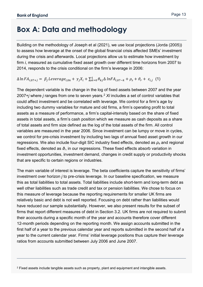$\overline{a}$ 

## <span id="page-12-0"></span>**Box A: Data and methodology**

Building on the methodology of Joseph et al (2021), we use local projections (Jorda (2005)) to assess how leverage at the onset of the global financial crisis affected SMEs' investment during the crisis and afterwards. Local projections allow us to estimate how investment by firm *i*, measured as cumulative fixed asset growth over different time horizons from 2007 to 2014, responds to the crisis conditional on the firm's leverage in 2006:

#### $\Delta \ln FA_{i,07+j} = \beta_j \text{Leverage}_{i,06} + \gamma_j X_i + \sum_{k=0}^1 \theta_{kj} \Delta \ln FA_{i,07-k} + \rho_s + \vartheta_r + \varepsilon_{i,j}$  (1)

The dependent variable is the change in the log of fixed assets between 2007 and the year 2007+*j* where *j* ranges from one to seven years.[2](#page-12-1) *Xi* includes a set of control variables that could affect investment and be correlated with leverage. We control for a firm's age by including two dummy variables for mature and old firms, a firm's operating profit to total assets as a measure of performance, a firm's capital-intensity based on the share of fixed assets in total assets, a firm's cash position which we measure as cash deposits as a share of total assets and firm size defined as the log of the total assets of the firm. All control variables are measured in the year 2006. Since investment can be lumpy or move in cycles, we control for pre-crisis investment by including two lags of annual fixed asset growth in our regressions. We also include four-digit SIC industry fixed effects, denoted as *ρ<sup>s</sup>* and regional fixed effects, denoted as *ϑr*, in our regressions. These fixed effects absorb variation in investment opportunities, investment demand, changes in credit supply or productivity shocks that are specific to certain regions or industries.

The main variable of interest is leverage. The beta coefficients capture the sensitivity of firms' investment over horizon *j* to pre-crisis leverage. In our baseline specification, we measure this as total liabilities to total assets. Total liabilities include short-term and long-term debt as well other liabilities such as trade credit and tax or pension liabilities. We chose to focus on this measure of leverage because the reporting requirements for smaller UK firms are relatively basic and debt is not well reported. Focusing on debt rather than liabilities would have reduced our sample substantially. However, we also present results for the subset of firms that report different measures of debt in Section 3.2. UK firms are not required to submit their accounts during a specific month of the year and accounts therefore cover different 12-month periods depending on the reporting month. We assign accounts submitted in the first half of a year to the previous calendar year and reports submitted in the second half of a year to the current calendar year. Firms' initial leverage positions thus capture their leverage ratios from accounts submitted between July 2006 and June 2007.

<span id="page-12-1"></span><sup>2</sup> Fixed assets include tangible assets such as property, plant and equipment and intangible assets.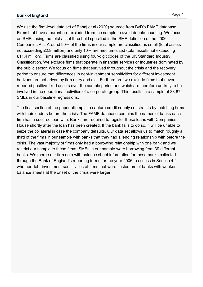#### **Bank of England**

We use the firm-level data set of Bahaj et al (2020) sourced from BvD's FAME database. Firms that have a parent are excluded from the sample to avoid double-counting. We focus on SMEs using the total asset threshold specified in the SME definition of the 2006 Companies Act. Around 90% of the firms in our sample are classified as small (total assets not exceeding £2.8 million) and only 10% are medium-sized (total assets not exceeding £11.4 million). Firms are classified using four-digit codes of the UK Standard Industry Classification. We exclude firms that operate in financial services or industries dominated by the public sector. We focus on firms that survived throughout the crisis and the recovery period to ensure that differences in debt-investment sensitivities for different investment horizons are not driven by firm entry and exit. Furthermore, we exclude firms that never reported positive fixed assets over the sample period and which are therefore unlikely to be involved in the operational activities of a corporate group. This results in a sample of 33,872 SMEs in our baseline regressions.

The final section of the paper attempts to capture credit supply constraints by matching firms with their lenders before the crisis. The FAME database contains the names of banks each firm has a secured loan with. Banks are required to register these loans with Companies House shortly after the loan has been created. If the bank fails to do so, it will be unable to seize the collateral in case the company defaults. Our data set allows us to match roughly a third of the firms in our sample with banks that they had a lending relationship with before the crisis. The vast majority of firms only had a borrowing relationship with one bank and we restrict our sample to these firms. SMEs in our sample were borrowing from 39 different banks. We merge our firm data with balance sheet information for these banks collected through the Bank of England's reporting forms for the year 2006 to assess in Section 4.2 whether debt-investment sensitivities of firms that were customers of banks with weaker balance sheets at the onset of the crisis were larger.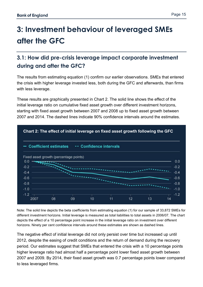## <span id="page-14-0"></span>**3: Investment behaviour of leveraged SMEs after the GFC**

### <span id="page-14-1"></span>**3.1: How did pre-crisis leverage impact corporate investment during and after the GFC?**

The results from estimating equation (1) confirm our earlier observations. SMEs that entered the crisis with higher leverage invested less, both during the GFC and afterwards, than firms with less leverage.

These results are graphically presented in Chart 2. The solid line shows the effect of the initial leverage ratio on cumulative fixed asset growth over different investment horizons, starting with fixed asset growth between 2007 and 2008 up to fixed asset growth between 2007 and 2014. The dashed lines indicate 90% confidence intervals around the estimates.



Note: The solid line depicts the beta coefficients from estimating equation (1) for our sample of 33,872 SMEs for different investment horizons. Initial leverage is measured as total liabilities to total assets in 2006/07. The chart depicts the effect of a 10 percentage point increase in the initial leverage ratio on investment over different horizons. Ninety per cent confidence intervals around these estimates are shown as dashed lines.

The negative effect of initial leverage did not only persist over time but increased up until 2012, despite the easing of credit conditions and the return of demand during the recovery period. Our estimates suggest that SMEs that entered the crisis with a 10 percentage points higher leverage ratio had almost half a percentage point lower fixed asset growth between 2007 and 2009. By 2014, their fixed asset growth was 0.7 percentage points lower compared to less leveraged firms.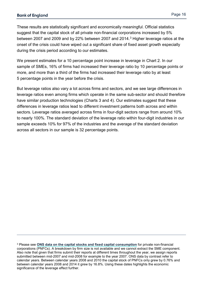$\overline{a}$ 

These results are statistically significant and economically meaningful. Official statistics suggest that the capital stock of all private non-financial corporations increased by 5% between 2007 and 2009 and by 22% between 2007 and 2014.<sup>[3](#page-15-0)</sup> Higher leverage ratios at the onset of the crisis could have wiped out a significant share of fixed asset growth especially during the crisis period according to our estimates.

We present estimates for a 10 percentage point increase in leverage in Chart 2. In our sample of SMEs, 16% of firms had increased their leverage ratio by 10 percentage points or more, and more than a third of the firms had increased their leverage ratio by at least 5 percentage points in the year before the crisis.

But leverage ratios also vary a lot across firms and sectors, and we see large differences in leverage ratios even among firms which operate in the same sub-sector and should therefore have similar production technologies (Charts 3 and 4). Our estimates suggest that these differences in leverage ratios lead to different investment patterns both across and within sectors. Leverage ratios averaged across firms in four-digit sectors range from around 10% to nearly 100%. The standard deviation of the leverage ratio within four-digit industries in our sample exceeds 10% for 97% of the industries and the average of the standard deviation across all sectors in our sample is 32 percentage points.

<span id="page-15-0"></span><sup>3</sup> Please see **[ONS data on the capital stocks and fixed capital consumption](https://www.ons.gov.uk/economy/nationalaccounts/uksectoraccounts/bulletins/capitalstocksconsumptionoffixedcapital/previousReleases)** for private non-financial corporations (PNFCs). A breakdown by firm size is not available and we cannot extract the SME component. Also note that given that firms submit their reports at different times throughout the year, we assign reports submitted between mid-2007 and mid-2008 for example to the year 2007. ONS data by contrast refer to calendar years. Between calendar years 2008 and 2010 the capital stock of PNFCs only grew by 0.76% and between calendar years 2008 and 2014 it grew by 16.8%. Using these dates highlights the economic significance of the leverage effect further.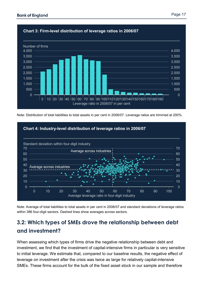

Note: Distribution of total liabilities to total assets in per cent in 2006/07. Leverage ratios are trimmed at 200%.



Note: Average of total liabilities to total assets in per cent in 2006/07 and standard deviations of leverage ratios within 386 four-digit sectors. Dashed lines show averages across sectors.

### <span id="page-16-0"></span>**3.2: Which types of SMEs drove the relationship between debt and investment?**

When assessing which types of firms drive the negative relationship between debt and investment, we find that the investment of capital-intensive firms in particular is very sensitive to initial leverage. We estimate that, compared to our baseline results, the negative effect of leverage on investment after the crisis was twice as large for relatively capital-intensive SMEs. These firms account for the bulk of the fixed asset stock in our sample and therefore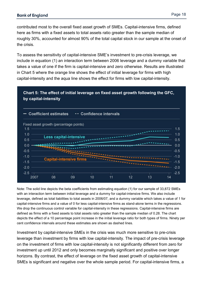contributed most to the overall fixed asset growth of SMEs. Capital-intensive firms, defined here as firms with a fixed assets to total assets ratio greater than the sample median of roughly 30%, accounted for almost 90% of the total capital stock in our sample at the onset of the crisis.

To assess the sensitivity of capital-intensive SME's investment to pre-crisis leverage, we include in equation (1) an interaction term between 2006 leverage and a dummy variable that takes a value of one if the firm is capital-intensive and zero otherwise. Results are illustrated in Chart 5 where the orange line shows the effect of initial leverage for firms with high capital-intensity and the aqua line shows the effect for firms with low capital-intensity.

#### **Chart 5: The effect of initial leverage on fixed asset growth following the GFC, by capital-intensity**



Note: The solid line depicts the beta coefficients from estimating equation (1) for our sample of 33,872 SMEs with an interaction term between initial leverage and a dummy for capital-intensive firms. We also include leverage, defined as total liabilities to total assets in 2006/07, and a dummy variable which takes a value of 1 for capital-intensive firms and a value of 0 for less capital-intensive firms as stand-alone terms in the regressions. We drop the continuous control variable for capital-intensity in these regressions. Capital-intensive firms are defined as firms with a fixed assets to total assets ratio greater than the sample median of 0.28. The chart depicts the effect of a 10 percentage point increase in the initial leverage ratio for both types of firms. Ninety per cent confidence intervals around these estimates are shown as dashed lines.

Investment by capital-intensive SMEs in the crisis was much more sensitive to pre-crisis leverage than investment by firms with low capital-intensity. The impact of pre-crisis leverage on the investment of firms with low capital-intensity is not significantly different from zero for investment up until 2012 and only becomes marginally significant and positive over longer horizons. By contrast, the effect of leverage on the fixed asset growth of capital-intensive SMEs is significant and negative over the whole sample period. For capital-intensive firms, a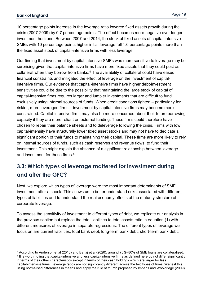$\overline{a}$ 

10 percentage points increase in the leverage ratio lowered fixed assets growth during the crisis (2007-2009) by 0.7 percentage points. The effect becomes more negative over longer investment horizons: Between 2007 and 2014, the stock of fixed assets of capital-intensive SMEs with 10 percentage points higher initial leverage fell 1.6 percentage points more than the fixed asset stock of capital-intensive firms with less leverage.

Our finding that investment by capital-intensive SMEs was more sensitive to leverage may be surprising given that capital-intensive firms have more fixed assets that they could post as collateral when they borrow from banks.<sup>[4](#page-18-1)</sup> The availability of collateral could have eased financial constraints and mitigated the effect of leverage on the investment of capitalintensive firms. Our evidence that capital-intensive firms have higher debt-investment sensitivities could be due to the possibility that maintaining the large stock of capital of capital-intensive firms requires larger and lumpier investments that are difficult to fund exclusively using internal sources of funds. When credit conditions tighten – particularly for riskier, more leveraged firms – investment by capital-intensive firms may become more constrained. Capital-intensive firms may also be more concerned about their future borrowing capacity if they are more reliant on external funding. These firms could therefore have chosen to repair their balance sheets and to deleverage following the crisis. Firms with low capital-intensity have structurally lower fixed asset stocks and may not have to dedicate a significant portion of their funds to maintaining their capital. These firms are more likely to rely on internal sources of funds, such as cash reserves and revenue flows, to fund their investment. This might explain the absence of a significant relationship between leverage and investment for these firms.<sup>[5](#page-18-2)</sup>

### <span id="page-18-0"></span>**3.3: Which types of leverage mattered for investment during and after the GFC?**

Next, we explore which types of leverage were the most important determinants of SME investment after a shock. This allows us to better understand risks associated with different types of liabilities and to understand the real economy effects of the maturity structure of corporate leverage.

To assess the sensitivity of investment to different types of debt, we replicate our analysis in the previous section but replace the total liabilities to total assets ratio in equation (1) with different measures of leverage in separate regressions. The different types of leverage we focus on are current liabilities, total bank debt, long-term bank debt, short-term bank debt,

<span id="page-18-2"></span><span id="page-18-1"></span><sup>4</sup> According to Anderson et al (2018) and Bahaj et al (2020), around 75%–80% of SME loans are collateralised. <sup>5</sup> It is worth noting that capital-intensive and less capital-intensive firms as defined here do not differ significantly in terms of their other characteristics except in terms of their cash holdings which are larger for less capital-intensive firms. Leverage ratios are not significantly different across the two types of firms. We test this using normalised differences in means and apply the rule of thumb proposed by Imbens and Wooldridge (2009).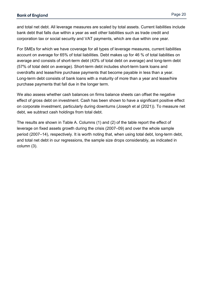and total net debt. All leverage measures are scaled by total assets. Current liabilities include bank debt that falls due within a year as well other liabilities such as trade credit and corporation tax or social security and VAT payments, which are due within one year.

For SMEs for which we have coverage for all types of leverage measures, current liabilities account on average for 65% of total liabilities. Debt makes up for 46 % of total liabilities on average and consists of short-term debt (43% of total debt on average) and long-term debt (57% of total debt on average). Short-term debt includes short-term bank loans and overdrafts and lease/hire purchase payments that become payable in less than a year. Long-term debt consists of bank loans with a maturity of more than a year and lease/hire purchase payments that fall due in the longer term.

We also assess whether cash balances on firms balance sheets can offset the negative effect of gross debt on investment. Cash has been shown to have a significant positive effect on corporate investment, particularly during downturns (Joseph et al (2021)). To measure net debt, we subtract cash holdings from total debt.

The results are shown in Table A. Columns (1) and (2) of the table report the effect of leverage on fixed assets growth during the crisis (2007–09) and over the whole sample period (2007–14), respectively. It is worth noting that, when using total debt, long-term debt, and total net debt in our regressions, the sample size drops considerably, as indicated in column (3).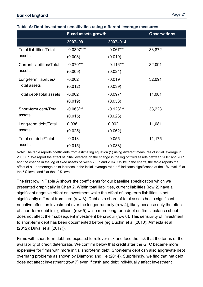|                                               | <b>Fixed assets growth</b> |             | <b>Observations</b> |
|-----------------------------------------------|----------------------------|-------------|---------------------|
|                                               | $2007 - 09$                | 2007-014    |                     |
| <b>Total liabilities/Total</b>                | $-0.0397***$               | $-0.067***$ | 33,872              |
| assets                                        | (0.008)                    | (0.019)     |                     |
| <b>Current liabilities/Total</b>              | $-0.070***$                | $-0.116***$ | 32,091              |
| assets                                        | (0.009)                    | (0.024)     |                     |
| Long-term liabilities/<br><b>Total assets</b> | $-0.002$                   | $-0.019$    | 32,091              |
|                                               | (0.012)                    | (0.039)     |                     |
| <b>Total debt/Total assets</b>                | $-0.002$                   | $-0.097*$   | 11,081              |
|                                               | (0.019)                    | (0.058)     |                     |
| Short-term debt/Total                         | $-0.063***$                | $-0.128***$ | 33,223              |
| assets                                        | (0.015)                    | (0.023)     |                     |
| Long-term debt/Total                          | 0.036                      | 0.002       | 11,081              |
| assets                                        | (0.025)                    | (0.062)     |                     |
| Total net debt/Total                          | $-0.013$                   | $-0.055$    | 11,175              |
| assets                                        | (0.015)                    | (0.038)     |                     |

#### **Table A: Debt-investment sensitivities using different leverage measures**

Note: The table reports coefficients from estimating equation (1) using different measures of initial leverage in 2006/07. We report the effect of initial leverage on the change in the log of fixed assets between 2007 and 2009 and the change in the log of fixed assets between 2007 and 2014. Unlike in the charts, the table reports the effect of a 1 percentage point increase in the initial leverage ratio. \*\*\* indicates significance at the 1% level, \*\* at the 5% level, and \* at the 10% level.

The first row in Table A shows the coefficients for our baseline specification which we presented graphically in Chart 2. Within total liabilities, current liabilities (row 2) have a significant negative effect on investment while the effect of long-term liabilities is not significantly different from zero (row 3). Debt as a share of total assets has a significant negative effect on investment over the longer run only (row 4), likely because only the effect of short-term debt is significant (row 5) while more long-term debt on firms' balance sheet does not affect their subsequent investment behaviour (row 6). This sensitivity of investment to short-term debt has been documented before (eg Duchin et al (2010); Almeida et al (2012); Duval et al (2017)).

Firms with short-term debt are exposed to rollover risk and face the risk that the terms or the availability of credit deteriorate. We confirm below that credit after the GFC became more expensive for firms with more initial short-term debt. Short-term debt can also aggravate debt overhang problems as shown by Diamond and He (2014). Surprisingly, we find that net debt does not affect investment (row 7) even if cash and debt individually affect investment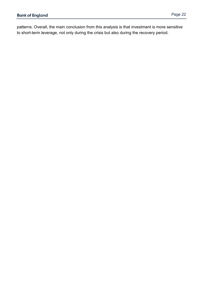patterns. Overall, the main conclusion from this analysis is that investment is more sensitive to short-term leverage, not only during the crisis but also during the recovery period.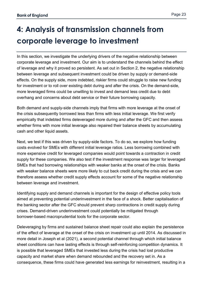## <span id="page-22-0"></span>**4: Analysis of transmission channels from corporate leverage to investment**

In this section, we investigate the underlying drivers of the negative relationship between corporate leverage and investment. Our aim is to understand the channels behind the effect of leverage and why it proved so persistent. As set out in Section 2, the negative relationship between leverage and subsequent investment could be driven by supply or demand-side effects. On the supply side, more indebted, riskier firms could struggle to raise new funding for investment or to roll over existing debt during and after the crisis. On the demand-side, more leveraged firms could be unwilling to invest and demand less credit due to debt overhang and concerns about debt service or their future borrowing capacity.

Both demand and supply-side channels imply that firms with more leverage at the onset of the crisis subsequently borrowed less than firms with less initial leverage. We first verify empirically that indebted firms deleveraged more during and after the GFC and then assess whether firms with more initial leverage also repaired their balance sheets by accumulating cash and other liquid assets.

Next, we test if this was driven by supply-side factors. To do so, we explore how funding costs evolved for SMEs with different initial leverage ratios. Less borrowing combined with more expensive credit for leveraged companies would point towards a contraction in credit supply for these companies. We also test if the investment response was larger for leveraged SMEs that had borrowing relationships with weaker banks at the onset of the crisis. Banks with weaker balance sheets were more likely to cut back credit during the crisis and we can therefore assess whether credit supply effects account for some of the negative relationship between leverage and investment.

Identifying supply and demand channels is important for the design of effective policy tools aimed at preventing potential underinvestment in the face of a shock. Better capitalisation of the banking sector after the GFC should prevent sharp contractions in credit supply during crises. Demand-driven underinvestment could potentially be mitigated through borrower-based macroprudential tools for the corporate sector.

Deleveraging by firms and sustained balance sheet repair could also explain the persistence of the effect of leverage at the onset of the crisis on investment up until 2014. As discussed in more detail in Joseph et al (2021), a second potential channel through which initial balance sheet conditions can have lasting effects is through self-reinforcing competition dynamics. It is possible that leveraged SMEs that invested less during the crisis had lost productive capacity and market share when demand rebounded and the recovery set in. As a consequence, these firms could have generated less earnings for reinvestment, resulting in a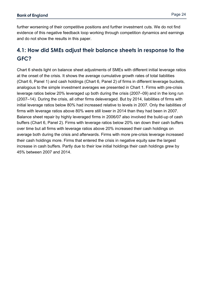further worsening of their competitive positions and further investment cuts. We do not find evidence of this negative feedback loop working through competition dynamics and earnings and do not show the results in this paper.

### <span id="page-23-0"></span>**4.1: How did SMEs adjust their balance sheets in response to the GFC?**

Chart 6 sheds light on balance sheet adjustments of SMEs with different initial leverage ratios at the onset of the crisis. It shows the average cumulative growth rates of total liabilities (Chart 6, Panel 1) and cash holdings (Chart 6, Panel 2) of firms in different leverage buckets, analogous to the simple investment averages we presented in Chart 1. Firms with pre-crisis leverage ratios below 20% leveraged up both during the crisis (2007–09) and in the long run (2007–14). During the crisis, all other firms deleveraged. But by 2014, liabilities of firms with initial leverage ratios below 80% had increased relative to levels in 2007. Only the liabilities of firms with leverage ratios above 80% were still lower in 2014 than they had been in 2007. Balance sheet repair by highly leveraged firms in 2006/07 also involved the build-up of cash buffers (Chart 6, Panel 2). Firms with leverage ratios below 20% ran down their cash buffers over time but all firms with leverage ratios above 20% increased their cash holdings on average both during the crisis and afterwards. Firms with more pre-crisis leverage increased their cash holdings more. Firms that entered the crisis in negative equity saw the largest increase in cash buffers. Partly due to their low initial holdings their cash holdings grew by 45% between 2007 and 2014.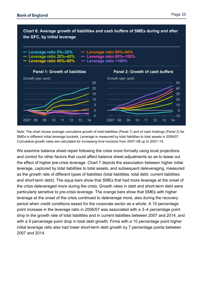

Note: The chart shows average cumulative growth of total liabilities (Panel 1) and of cash holdings (Panel 2) for SMEs in different initial leverage buckets. Leverage is measured by total liabilities to total assets in 2006/07. Cumulative growth rates are calculated for increasing time horizons from 2007–08 up to 2007–14.

We examine balance sheet repair following the crisis more formally using local projections and control for other factors that could affect balance sheet adjustments so as to tease out the effect of higher pre-crisis leverage. Chart 7 depicts the association between higher initial leverage, captured by total liabilities to total assets, and subsequent deleveraging, measured as the growth rate of different types of liabilities (total liabilities, total debt, current liabilities and short-term debt). The aqua bars show that SMEs that had more leverage at the onset of the crisis deleveraged more during the crisis. Growth rates in debt and short-term debt were particularly sensitive to pre-crisis leverage. The orange bars show that SMEs with higher leverage at the onset of the crisis continued to deleverage more, also during the recovery period when credit conditions eased for the corporate sector as a whole. A 10 percentage point increase in the leverage ratio in 2006/07 was associated with a 3–4 percentage point drop in the growth rate of total liabilities and in current liabilities between 2007 and 2014, and with a 9 percentage point drop in total debt growth. Firms with a 10 percentage point higher initial leverage ratio also had lower short-term debt growth by 7 percentage points between 2007 and 2014.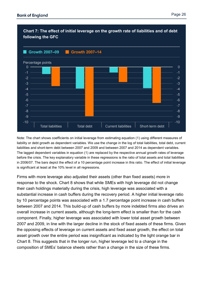

#### **Chart 7: The effect of initial leverage on the growth rate of liabilities and of debt following the GFC**

Note: The chart shows coefficients on initial leverage from estimating equation (1) using different measures of liability or debt growth as dependent variables. We use the change in the log of total liabilities, total debt, current liabilities and short-term debt between 2007 and 2009 and between 2007 and 2014 as dependent variables. The lagged dependent variables in equation (1) are replaced by the respective annual growth rates of leverage before the crisis. The key explanatory variable in these regressions is the ratio of total assets and total liabilities in 2006/07. The bars depict the effect of a 10 percentage point increase in this ratio. The effect of initial leverage is significant at least at the 10% level in all regressions.

Firms with more leverage also adjusted their assets (other than fixed assets) more in response to the shock. Chart 8 shows that while SMEs with high leverage did not change their cash holdings materially during the crisis, high leverage was associated with a substantial increase in cash buffers during the recovery period. A higher initial leverage ratio by 10 percentage points was associated with a 1.7 percentage point increase in cash buffers between 2007 and 2014. This build-up of cash buffers by more indebted firms also drives an overall increase in current assets, although the long-term effect is smaller than for the cash component. Finally, higher leverage was associated with lower total asset growth between 2007 and 2009, in line with the larger decline in the stock of fixed assets of these firms. Given the opposing effects of leverage on current assets and fixed asset growth, the effect on total asset growth over the entire period was insignificant as indicated by the light orange bar in Chart 8. This suggests that in the longer run, higher leverage led to a change in the composition of SMEs' balance sheets rather than a change in the size of these firms.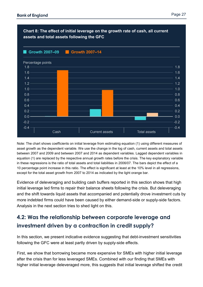

Note: The chart shows coefficients on initial leverage from estimating equation (1) using different measures of asset growth as the dependent variable. We use the change in the log of cash, current assets and total assets between 2007 and 2009 and between 2007 and 2014 as dependent variables. Lagged dependent variables in equation (1) are replaced by the respective annual growth rates before the crisis. The key explanatory variable in these regressions is the ratio of total assets and total liabilities in 2006/07. The bars depict the effect of a 10 percentage point increase in this ratio. The effect is significant at least at the 10% level in all regressions, except for the total asset growth from 2007 to 2014 as indicated by the light orange bar.

Evidence of deleveraging and building cash buffers reported in this section shows that high initial leverage led firms to repair their balance sheets following the crisis. But deleveraging and the shift towards liquid assets that accompanied and potentially drove investment cuts by more indebted firms could have been caused by either demand-side or supply-side factors. Analysis in the next section tries to shed light on this.

### <span id="page-26-0"></span>**4.2: Was the relationship between corporate leverage and investment driven by a contraction in credit supply?**

In this section, we present indicative evidence suggesting that debt-investment sensitivities following the GFC were at least partly driven by supply-side effects.

First, we show that borrowing became more expensive for SMEs with higher initial leverage after the crisis than for less leveraged SMEs. Combined with our finding that SMEs with higher initial leverage deleveraged more, this suggests that initial leverage shifted the credit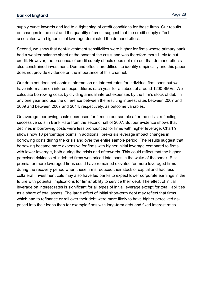supply curve inwards and led to a tightening of credit conditions for these firms. Our results on changes in the cost and the quantity of credit suggest that the credit supply effect associated with higher initial leverage dominated the demand effect.

Second, we show that debt-investment sensitivities were higher for firms whose primary bank had a weaker balance sheet at the onset of the crisis and was therefore more likely to cut credit. However, the presence of credit supply effects does not rule out that demand effects also constrained investment. Demand effects are difficult to identify empirically and this paper does not provide evidence on the importance of this channel.

Our data set does not contain information on interest rates for individual firm loans but we have information on interest expenditures each year for a subset of around 1200 SMEs. We calculate borrowing costs by dividing annual interest expenses by the firm's stock of debt in any one year and use the difference between the resulting interest rates between 2007 and 2009 and between 2007 and 2014, respectively, as outcome variables.

On average, borrowing costs decreased for firms in our sample after the crisis, reflecting successive cuts in Bank Rate from the second half of 2007. But our evidence shows that declines in borrowing costs were less pronounced for firms with higher leverage. Chart 9 shows how 10 percentage points in additional, pre-crisis leverage impact changes in borrowing costs during the crisis and over the entire sample period. The results suggest that borrowing became more expensive for firms with higher initial leverage compared to firms with lower leverage, both during the crisis and afterwards. This could reflect that the higher perceived riskiness of indebted firms was priced into loans in the wake of the shock. Risk premia for more leveraged firms could have remained elevated for more leveraged firms during the recovery period when these firms reduced their stock of capital and had less collateral. Investment cuts may also have led banks to expect lower corporate earnings in the future with potential implications for firms' ability to service their debt. The effect of initial leverage on interest rates is significant for all types of initial leverage except for total liabilities as a share of total assets. The large effect of initial short-term debt may reflect that firms which had to refinance or roll over their debt were more likely to have higher perceived risk priced into their loans than for example firms with long-term debt and fixed interest rates.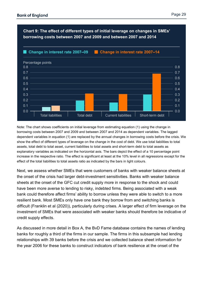

Note: The chart shows coefficients on initial leverage from estimating equation (1) using the change in borrowing costs between 2007 and 2009 and between 2007 and 2014 as dependent variables. The lagged dependent variables in equation (1) are replaced by the annual changes in borrowing costs before the crisis. We show the effect of different types of leverage on the change in the cost of debt. We use total liabilities to total assets, total debt to total asset, current liabilities to total assets and short-term debt to total assets as explanatory variables as indicated on the horizontal axis. The bars depict the effect of a 10 percentage point increase in the respective ratio. The effect is significant at least at the 10% level in all regressions except for the effect of the total liabilities to total assets ratio as indicated by the bars in light colours.

Next, we assess whether SMEs that were customers of banks with weaker balance sheets at the onset of the crisis had larger debt-investment sensitivities. Banks with weaker balance sheets at the onset of the GFC cut credit supply more in response to the shock and could have been more averse to lending to risky, indebted firms. Being associated with a weak bank could therefore affect firms' ability to borrow unless they were able to switch to a more resilient bank. Most SMEs only have one bank they borrow from and switching banks is difficult (Franklin et al (2020)), particularly during crises. A larger effect of firm leverage on the investment of SMEs that were associated with weaker banks should therefore be indicative of credit supply effects.

As discussed in more detail in Box A, the BvD Fame database contains the names of lending banks for roughly a third of the firms in our sample. The firms in this subsample had lending relationships with 39 banks before the crisis and we collected balance sheet information for the year 2006 for these banks to construct indicators of bank resilience at the onset of the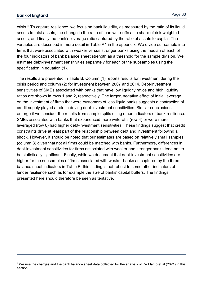$\overline{a}$ 

crisis.<sup>[6](#page-29-0)</sup> To capture resilience, we focus on bank liquidity, as measured by the ratio of its liquid assets to total assets, the change in the ratio of loan write-offs as a share of risk-weighted assets, and finally the bank's leverage ratio captured by the ratio of assets to capital. The variables are described in more detail in Table A1 in the appendix. We divide our sample into firms that were associated with weaker versus stronger banks using the median of each of the four indicators of bank balance sheet strength as a threshold for the sample division. We estimate debt-investment sensitivities separately for each of the subsamples using the specification in equation (1).

The results are presented in Table B. Column (1) reports results for investment during the crisis period and column (2) for investment between 2007 and 2014. Debt-investment sensitivities of SMEs associated with banks that have low liquidity ratios and high liquidity ratios are shown in rows 1 and 2, respectively. The larger, negative effect of initial leverage on the investment of firms that were customers of less liquid banks suggests a contraction of credit supply played a role in driving debt-investment sensitivities. Similar conclusions emerge if we consider the results from sample splits using other indicators of bank resilience: SMEs associated with banks that experienced more write-offs (row 4) or were more leveraged (row 6) had higher debt-investment sensitivities. These findings suggest that credit constraints drive at least part of the relationship between debt and investment following a shock. However, it should be noted that our estimates are based on relatively small samples (column 3) given that not all firms could be matched with banks. Furthermore, differences in debt-investment sensitivities for firms associated with weaker and stronger banks tend not to be statistically significant. Finally, while we document that debt-investment sensitivities are higher for the subsamples of firms associated with weaker banks as captured by the three balance sheet indicators in Table B, this finding is not robust to some other indicators of lender resilience such as for example the size of banks' capital buffers. The findings presented here should therefore be seen as tentative.

<span id="page-29-0"></span><sup>&</sup>lt;sup>6</sup> We use the charges and the bank balance sheet data collected for the analysis of De Marco et al (2021) in this section.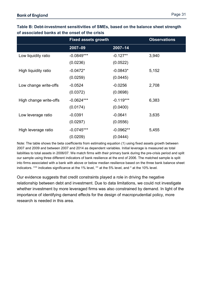|                        | <b>Fixed assets growth</b> |             | <b>Observations</b> |
|------------------------|----------------------------|-------------|---------------------|
|                        | 2007-09                    | $2007 - 14$ |                     |
| Low liquidity ratio    | $-0.0849***$               | $-0.127**$  | 3,940               |
|                        | (0.0236)                   | (0.0522)    |                     |
| High liquidity ratio   | $-0.0472*$                 | $-0.0843*$  | 5,152               |
|                        | (0.0259)                   | (0.0445)    |                     |
| Low change write-offs  | $-0.0524$                  | $-0.0256$   | 2,708               |
|                        | (0.0372)                   | (0.0698)    |                     |
| High change write-offs | $-0.0624***$               | $-0.119***$ | 6,383               |
|                        | (0.0174)                   | (0.0400)    |                     |
| Low leverage ratio     | $-0.0391$                  | $-0.0641$   | 3,635               |
|                        | (0.0297)                   | (0.0556)    |                     |
| High leverage ratio    | $-0.0745***$               | $-0.0962**$ | 5,455               |
|                        | (0.0209)                   | (0.0444)    |                     |

#### **Table B: Debt-investment sensitivities of SMEs, based on the balance sheet strength of associated banks at the onset of the crisis**

Note: The table shows the beta coefficients from estimating equation (1) using fixed assets growth between 2007 and 2009 and between 2007 and 2014 as dependent variables. Initial leverage is measured as total liabilities to total assets in 2006/07. We match firms with their primary bank during the pre-crisis period and split our sample using three different indicators of bank resilience at the end of 2006. The matched sample is split into firms associated with a bank with above or below median resilience based on the three bank balance sheet indicators. \*\*\* indicates significance at the 1% level, \*\* at the 5% level, and \* at the 10% level.

Our evidence suggests that credit constraints played a role in driving the negative relationship between debt and investment. Due to data limitations, we could not investigate whether investment by more leveraged firms was also constrained by demand. In light of the importance of identifying demand effects for the design of macroprudential policy, more research is needed in this area.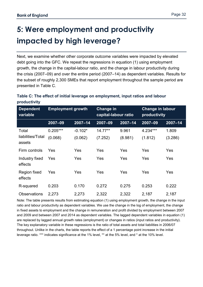## <span id="page-31-0"></span>**5: Were employment and productivity impacted by high leverage?**

Next, we examine whether other corporate outcome variables were impacted by elevated debt going into the GFC. We repeat the regressions in equation (1) using employment growth, the change in the capital-labour ratio, and the change in labour productivity during the crisis (2007–09) and over the entire period (2007–14) as dependent variables. Results for the subset of roughly 2,300 SMEs that report employment throughout the sample period are presented in Table C.

**Table C: The effect of initial leverage on employment, input ratios and labour productivity**

| <b>Dependent</b><br>variable   | <b>Employment growth</b> |             | <b>Change in</b><br>capital-labour ratio |             | <b>Change in labour</b><br>productivity |             |
|--------------------------------|--------------------------|-------------|------------------------------------------|-------------|-----------------------------------------|-------------|
|                                | 2007-09                  | $2007 - 14$ | 2007-09                                  | $2007 - 14$ | 2007-09                                 | $2007 - 14$ |
| Total                          | $0.205***$               | $-0.102*$   | $14.77**$                                | 9.961       | 4.234***                                | 1.809       |
| liabilities/Total<br>assets    | (0.068)                  | (0.062)     | (7.252)                                  | (8.981)     | (1.812)                                 | (3.286)     |
| Firm controls                  | Yes                      | Yes         | Yes                                      | Yes         | Yes                                     | Yes         |
| Industry fixed<br>effects      | Yes                      | Yes         | Yes                                      | Yes         | Yes                                     | Yes         |
| <b>Region fixed</b><br>effects | Yes                      | Yes         | Yes                                      | Yes         | Yes                                     | Yes         |
| R-squared                      | 0.203                    | 0.170       | 0.272                                    | 0.275       | 0.253                                   | 0.222       |
| <b>Observations</b>            | 2,273                    | 2,273       | 2,322                                    | 2,322       | 2,187                                   | 2,187       |

Note: The table presents results from estimating equation (1) using employment growth, the change in the input ratio and labour productivity as dependent variables. We use the change in the log of employment, the change in fixed assets to employment and the change in remuneration and profit divided by employment between 2007 and 2009 and between 2007 and 2014 as dependent variables. The lagged dependent variables in equation (1) are replaced by lagged annual growth rates (employment) or changes in ratios (input ratios and productivity). The key explanatory variable in these regressions is the ratio of total assets and total liabilities in 2006/07 throughout. Unlike in the charts, the table reports the effect of a 1 percentage point increase in the initial leverage ratio. \*\*\* indicates significance at the 1% level, \*\* at the 5% level, and \* at the 10% level.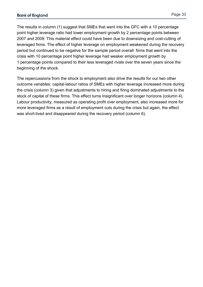The results in column (1) suggest that SMEs that went into the GFC with a 10 percentage point higher leverage ratio had lower employment growth by 2 percentage points between 2007 and 2009. This material effect could have been due to downsizing and cost-cutting of leveraged firms. The effect of higher leverage on employment weakened during the recovery period but continued to be negative for the sample period overall: firms that went into the crisis with 10 percentage point higher leverage had weaker employment growth by 1 percentage points compared to their less leveraged rivals over the seven years since the beginning of the shock.

The repercussions from the shock to employment also drive the results for our two other outcome variables: capital-labour ratios of SMEs with higher leverage increased more during the crisis (column 3) given that adjustments to hiring and firing dominated adjustments to the stock of capital of these firms. This effect turns insignificant over longer horizons (column 4). Labour productivity, measured as operating profit over employment, also increased more for more leveraged firms as a result of employment cuts during the crisis but again, the effect was short-lived and disappeared during the recovery period (column 6).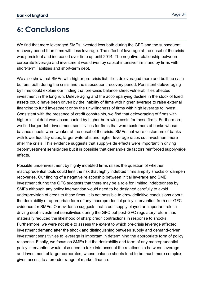## <span id="page-33-0"></span>**6: Conclusions**

We find that more leveraged SMEs invested less both during the GFC and the subsequent recovery period than firms with less leverage. The effect of leverage at the onset of the crisis was persistent and increased over time up until 2014. The negative relationship between corporate leverage and investment was driven by capital-intensive firms and by firms with short-term liabilities and short-term debt.

We also show that SMEs with higher pre-crisis liabilities deleveraged more and built up cash buffers, both during the crisis and the subsequent recovery period. Persistent deleveraging by firms could explain our finding that pre-crisis balance sheet vulnerabilities affected investment in the long run. Deleveraging and the accompanying decline in the stock of fixed assets could have been driven by the inability of firms with higher leverage to raise external financing to fund investment or by the unwillingness of firms with high leverage to invest. Consistent with the presence of credit constraints, we find that deleveraging of firms with higher initial debt was accompanied by higher borrowing costs for these firms. Furthermore, we find larger debt-investment sensitivities for firms that were customers of banks whose balance sheets were weaker at the onset of the crisis. SMEs that were customers of banks with lower liquidity ratios, larger write-offs and higher leverage ratios cut investment more after the crisis. This evidence suggests that supply-side effects were important in driving debt-investment sensitivities but it is possible that demand-side factors reinforced supply-side effects.

Possible underinvestment by highly indebted firms raises the question of whether macroprudential tools could limit the risk that highly indebted firms amplify shocks or dampen recoveries. Our finding of a negative relationship between initial leverage and SME investment during the GFC suggests that there may be a role for limiting indebtedness by SMEs although any policy intervention would need to be designed carefully to avoid underprovision of credit to these firms. It is not possible to draw definitive conclusions about the desirability or appropriate form of any macroprudential policy intervention from our GFC evidence for SMEs. Our evidence suggests that credit supply played an important role in driving debt-investment sensitivities during the GFC but post-GFC regulatory reform has materially reduced the likelihood of sharp credit contractions in response to shocks. Furthermore, we were not able to assess the extent to which pre-crisis leverage affected investment demand after the shock and distinguishing between supply and demand-driven investment sensitivities to leverage is important in determining the appropriate form of policy response. Finally, we focus on SMEs but the desirability and form of any macroprudential policy intervention would also need to take into account the relationship between leverage and investment of larger corporates, whose balance sheets tend to be much more complex given access to a broader range of market finance.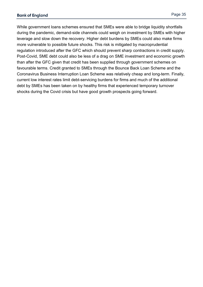While government loans schemes ensured that SMEs were able to bridge liquidity shortfalls during the pandemic, demand-side channels could weigh on investment by SMEs with higher leverage and slow down the recovery. Higher debt burdens by SMEs could also make firms more vulnerable to possible future shocks. This risk is mitigated by macroprudential regulation introduced after the GFC which should prevent sharp contractions in credit supply. Post-Covid, SME debt could also be less of a drag on SME investment and economic growth than after the GFC given that credit has been supplied through government schemes on favourable terms. Credit granted to SMEs through the Bounce Back Loan Scheme and the Coronavirus Business Interruption Loan Scheme was relatively cheap and long-term. Finally, current low interest rates limit debt-servicing burdens for firms and much of the additional debt by SMEs has been taken on by healthy firms that experienced temporary turnover shocks during the Covid crisis but have good growth prospects going forward.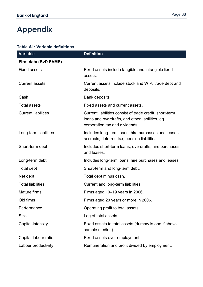## <span id="page-35-0"></span>**Appendix**

| Table A1: Variable definitions |                                                               |
|--------------------------------|---------------------------------------------------------------|
| <b>Variable</b>                | <b>Definition</b>                                             |
| Firm data (BvD FAME)           |                                                               |
| Fixed assets                   | Fixed assets include tangible and intangible fixed<br>assets. |

|                            | assets.                                                                                                                                      |
|----------------------------|----------------------------------------------------------------------------------------------------------------------------------------------|
| <b>Current assets</b>      | Current assets include stock and WIP, trade debt and<br>deposits.                                                                            |
| Cash                       | Bank deposits.                                                                                                                               |
| <b>Total assets</b>        | Fixed assets and current assets.                                                                                                             |
| <b>Current liabilities</b> | Current liabilities consist of trade credit, short-term<br>loans and overdrafts, and other liabilities, eg<br>corporation tax and dividends. |
| Long-term liabilities      | Includes long-term loans, hire purchases and leases,<br>accruals, deferred tax, pension liabilities.                                         |
| Short-term debt            | Includes short-term loans, overdrafts, hire purchases<br>and leases.                                                                         |
| Long-term debt             | Includes long-term loans, hire purchases and leases.                                                                                         |
| <b>Total debt</b>          | Short-term and long-term debt.                                                                                                               |
| Net debt                   | Total debt minus cash.                                                                                                                       |
| <b>Total liabilities</b>   | Current and long-term liabilities.                                                                                                           |
| <b>Mature firms</b>        | Firms aged 10–19 years in 2006.                                                                                                              |
| Old firms                  | Firms aged 20 years or more in 2006.                                                                                                         |
| Performance                | Operating profit to total assets.                                                                                                            |
| <b>Size</b>                | Log of total assets.                                                                                                                         |
| Capital-intensity          | Fixed assets to total assets (dummy is one if above<br>sample median).                                                                       |
| Capital-labour ratio       | Fixed assets over employment.                                                                                                                |
| Labour productivity        | Remuneration and profit divided by employment.                                                                                               |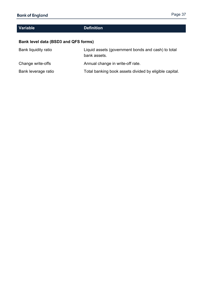#### **Variable Definition**

#### **Bank level data (BSD3 and QFS forms)**

| Bank liquidity ratio | Liquid assets (government bonds and cash) to total<br>bank assets. |
|----------------------|--------------------------------------------------------------------|
| Change write-offs    | Annual change in write-off rate.                                   |
| Bank leverage ratio  | Total banking book assets divided by eligible capital.             |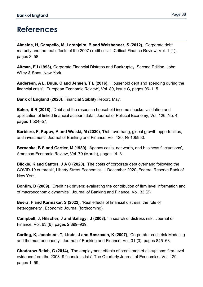### <span id="page-37-0"></span>**References**

**Almeida, H, Campello, M, Laranjeira, B and Weisbenner, S (2012)**, 'Corporate debt maturity and the real effects of the 2007 credit crisis', Critical Finance Review, Vol. 1 (1), pages 3–58.

**Altman, E I (1993)**, Corporate Financial Distress and Bankruptcy, Second Edition, John Wiley & Sons, New York.

**Andersen, A L, Duus, C and Jensen, T L (2016)**, 'Household debt and spending during the financial crisis', 'European Economic Review', Vol. 89, Issue C, pages 96–115.

**Bank of England (2020)**, Financial Stability Report, May.

**Baker, S R (2018)**, 'Debt and the response household income shocks: validation and application of linked financial account data', Journal of Political Economy, Vol. 126, No. 4, pages 1,504–57.

**Barbiero, F, Popov, A and Wolski, M (2020)**, 'Debt overhang, global growth opportunities, and investment', Journal of Banking and Finance, Vol. 120, Nr 105950.

**Bernanke, B S and Gertler, M (1989)**, 'Agency costs, net worth, and business fluctuations', American Economic Review, Vol. 79 (March), pages 14–31.

**Blickle, K and Santos, J A C (2020)**, 'The costs of corporate debt overhang following the COVID-19 outbreak', Liberty Street Economics, 1 December 2020, Federal Reserve Bank of New York.

**Bonfim, D (2009)**, 'Credit risk drivers: evaluating the contribution of firm level information and of macroeconomic dynamics', Journal of Banking and Finance, Vol. 33 (2).

**Buera, F and Karmakar, S (2022)**, 'Real effects of financial distress: the role of heterogeneity', Economic Journal (forthcoming).

**Campbell, J, Hilscher, J and Szilagyi, J (2008)**, 'In search of distress risk', Journal of Finance, Vol. 63 (6), pages 2,899–939.

**Carling, K, Jacobson, T, Linde, J and Roszbach, K (2007)**, 'Corporate credit risk Modeling and the macroeconomy', Journal of Banking and Finance, Vol. 31 (3), pages 845–68.

**Chodorow-Reich, G (2014)**, 'The employment effects of credit market disruptions: firm-level evidence from the 2008–9 financial crisis', The Quarterly Journal of Economics, Vol. 129, pages 1–59.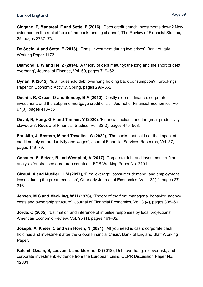**Cingano, F, Manaresi, F and Sette, E (2016)**, 'Does credit crunch investments down? New evidence on the real effects of the bank-lending channel', The Review of Financial Studies, 29, pages 2737–73.

**De Socio, A and Sette, E (2018)**, 'Firms' investment during two crises', Bank of Italy Working Paper 1173.

**Diamond, D W and He, Z (2014)**, 'A theory of debt maturity: the long and the short of debt overhang', Journal of Finance, Vol. 69, pages 719–62.

**Dynan, K (2012)**, 'Is a household debt overhang holding back consumption?', Brookings Paper on Economic Activity, Spring, pages 299–362.

**Duchin, R, Ozbas, O and Sensoy, B A (2010)**, 'Costly external finance, corporate investment, and the subprime mortgage credit crisis', Journal of Financial Economics, Vol. 97(3), pages 418–35.

**Duval, R, Hong, G H and Timmer, Y (2020)**, 'Financial frictions and the great productivity slowdown', Review of Financial Studies, Vol. 33(2), pages 475–503.

**Franklin, J, Rostom, M and Thwaites, G (2020)**, 'The banks that said no: the impact of credit supply on productivity and wages', Journal Financial Services Research, Vol. 57, pages 149–79.

**Gebauer, S, Setzer, R and Westphal, A (2017)**, Corporate debt and investment: a firm analysis for stressed euro area countries, ECB Working Paper No. 2101.

**Giroud, X and Mueller, H M (2017)**, 'Firm leverage, consumer demand, and employment losses during the great recession', Quarterly Journal of Economics, Vol. 132(1), pages 271– 316.

**Jensen, M C and Meckling, W H (1976)**, 'Theory of the firm: managerial behavior, agency costs and ownership structure', Journal of Financial Economics, Vol. 3 (4), pages 305–60.

**Jordà, O (2005)**, 'Estimation and inference of impulse responses by local projections', American Economic Review, Vol. 95 (1), pages 161–82.

**Joseph, A, Kneer, C and van Horen, N (2021)**, 'All you need is cash: corporate cash holdings and investment after the Global Financial Crisis', Bank of England Staff Working Paper.

**Kalemli-Ozcan, S, Laeven, L and Moreno, D (2018)**, Debt overhang, rollover risk, and corporate investment: evidence from the European crisis, CEPR Discussion Paper No. 12881.